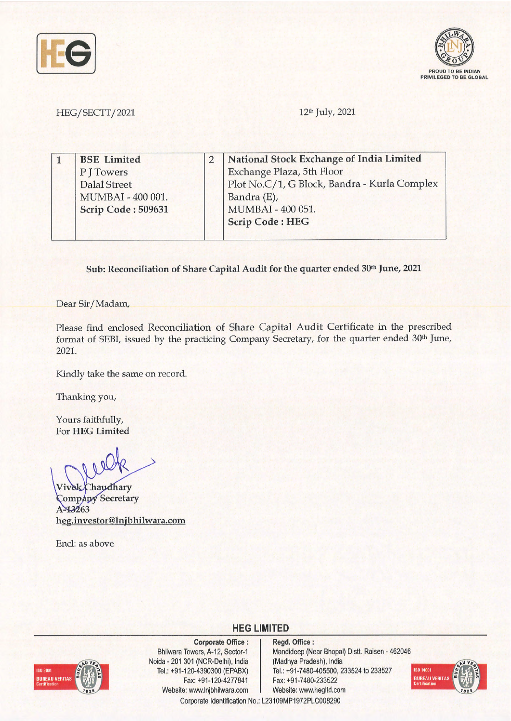



HEG/SECTT/2021 12th July, 2021

| <b>BSE</b> Limited        | National Stock Exchange of India Limited     |
|---------------------------|----------------------------------------------|
| P J Towers                | Exchange Plaza, 5th Floor                    |
| Dalal Street              | Plot No.C/1, G Block, Bandra - Kurla Complex |
| MUMBAI - 400 001.         | Bandra (E),                                  |
| <b>Scrip Code: 509631</b> | MUMBAI - 400 051.                            |
|                           | <b>Scrip Code: HEG</b>                       |

Sub: Reconciliation of Share Capital Audit for the quarter ended 30<sup>th</sup> June, 2021

Dear Sir/ Madam,

Please find enclosed Reconciliation of Share Capital Audit Certificate in the prescribed format of SEBI, issued by the practicing Company Secretary, for the quarter ended 30<sup>th</sup> June, 2021.

Kindly take the same on record.

Thanking you,

Yours faithfully, For **HEG Limited** 

Chaudhary **Company Secretary** A-13263 **heg.investor@lnjbhilwara.com** 

Encl: as above



**Corporate Office** : Bhilwara Towers, A-12, Sector-1 Noida - 201 301 (NCR-Delhi), India Tel.: +91-120-4390300 (EPABX) Fax: +91-120-4277841 Website: www.lnjbhilwara.com | Website: www.hegltd.com

**Regd. Office** : Mandideep (Near Bhopal) Dist!. Raisen - 462046 (Madhya Pradesh), India Tel.: +91-7480-405500, 233524 to 233527 Fax: +91-7480-233522



Corporate Identification No.: L23109MP1972PLC008290

**HEG LIMITED**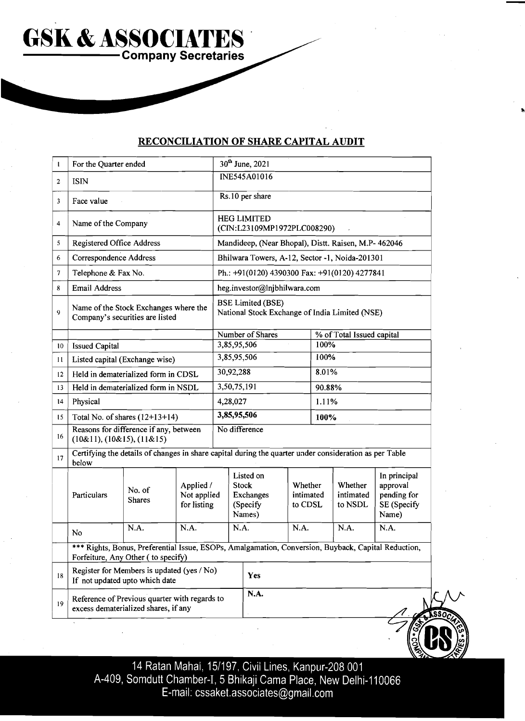## **RECONCILIATION OF SHARE CAPITAL AUDIT**

**COMPANY SOCIATES** 

**GSK** & **ASSOCIATES** '

| t               | For the Quarter ended                                                                                           |                                                                                                                                           |                                         | 30 <sup>th</sup> June, 2021                                                |                                                              |                                 |       |                                 |                                                                 |  |  |
|-----------------|-----------------------------------------------------------------------------------------------------------------|-------------------------------------------------------------------------------------------------------------------------------------------|-----------------------------------------|----------------------------------------------------------------------------|--------------------------------------------------------------|---------------------------------|-------|---------------------------------|-----------------------------------------------------------------|--|--|
| $\overline{2}$  | <b>ISIN</b>                                                                                                     |                                                                                                                                           |                                         | INE545A01016                                                               |                                                              |                                 |       |                                 |                                                                 |  |  |
| 3               | Face value                                                                                                      |                                                                                                                                           |                                         | Rs.10 per share                                                            |                                                              |                                 |       |                                 |                                                                 |  |  |
| 4               | Name of the Company                                                                                             |                                                                                                                                           |                                         | <b>HEG LIMITED</b><br>(CIN:L23109MP1972PLC008290)                          |                                                              |                                 |       |                                 |                                                                 |  |  |
| 5               | <b>Registered Office Address</b>                                                                                |                                                                                                                                           |                                         |                                                                            | Mandideep, (Near Bhopal), Distt. Raisen, M.P- 462046         |                                 |       |                                 |                                                                 |  |  |
| 6               | Correspondence Address                                                                                          |                                                                                                                                           |                                         | Bhilwara Towers, A-12, Sector -1, Noida-201301                             |                                                              |                                 |       |                                 |                                                                 |  |  |
| 7               | Telephone & Fax No.                                                                                             |                                                                                                                                           |                                         | Ph.: +91(0120) 4390300 Fax: +91(0120) 4277841                              |                                                              |                                 |       |                                 |                                                                 |  |  |
| 8               | <b>Email Address</b>                                                                                            |                                                                                                                                           |                                         |                                                                            | heg.investor@Injbhilwara.com                                 |                                 |       |                                 |                                                                 |  |  |
| 9               | Name of the Stock Exchanges where the<br>Company's securities are listed                                        |                                                                                                                                           |                                         | <b>BSE Limited (BSE)</b><br>National Stock Exchange of India Limited (NSE) |                                                              |                                 |       |                                 |                                                                 |  |  |
|                 |                                                                                                                 |                                                                                                                                           |                                         |                                                                            | Number of Shares                                             |                                 |       | % of Total Issued capital       |                                                                 |  |  |
| 10 <sup>°</sup> | <b>Issued Capital</b>                                                                                           |                                                                                                                                           |                                         |                                                                            | 3,85,95,506<br>3,85,95,506                                   |                                 | 100%  |                                 |                                                                 |  |  |
| 11              | Listed capital (Exchange wise)                                                                                  |                                                                                                                                           |                                         |                                                                            |                                                              |                                 | 100%  |                                 |                                                                 |  |  |
| 12              | Held in dematerialized form in CDSL                                                                             |                                                                                                                                           |                                         |                                                                            | 30,92,288                                                    |                                 | 8.01% |                                 |                                                                 |  |  |
| 13              | Held in dematerialized form in NSDL                                                                             |                                                                                                                                           |                                         |                                                                            | 3,50,75,191                                                  |                                 |       | 90.88%                          |                                                                 |  |  |
| $\overline{14}$ | Physical                                                                                                        |                                                                                                                                           |                                         |                                                                            | 4,28,027                                                     |                                 |       | 1.11%                           |                                                                 |  |  |
| 15              | Total No. of shares $(12+13+14)$                                                                                |                                                                                                                                           |                                         | 3,85,95,506                                                                |                                                              |                                 | 100%  |                                 |                                                                 |  |  |
| 16              | Reasons for difference if any, between<br>$(10\&11), (10\&15), (11\&15)$                                        |                                                                                                                                           |                                         |                                                                            | No difference                                                |                                 |       |                                 |                                                                 |  |  |
| 17              | Certifying the details of changes in share capital during the quarter under consideration as per Table<br>below |                                                                                                                                           |                                         |                                                                            |                                                              |                                 |       |                                 |                                                                 |  |  |
|                 | Particulars                                                                                                     | No. of<br><b>Shares</b>                                                                                                                   | Applied /<br>Not applied<br>for listing |                                                                            | Listed on<br><b>Stock</b><br>Exchanges<br>(Specify<br>Names) | Whether<br>intimated<br>to CDSL |       | Whether<br>intimated<br>to NSDL | In principal<br>approval<br>pending for<br>SE (Specify<br>Name) |  |  |
|                 | No                                                                                                              | N.A.                                                                                                                                      | N.A.                                    |                                                                            | N.A.                                                         | N.A.                            |       | N.A.                            | N.A.                                                            |  |  |
|                 |                                                                                                                 | *** Rights, Bonus, Preferential Issue, ESOPs, Amalgamation, Conversion, Buyback, Capital Reduction,<br>Forfeiture, Any Other (to specify) |                                         |                                                                            |                                                              |                                 |       |                                 |                                                                 |  |  |
| 18              |                                                                                                                 | Register for Members is updated (yes / No)<br>If not updated upto which date                                                              |                                         |                                                                            | Yes                                                          |                                 |       |                                 |                                                                 |  |  |
| 19              | Reference of Previous quarter with regards to<br>excess dematerialized shares, if any                           |                                                                                                                                           |                                         |                                                                            | N.A.                                                         |                                 |       |                                 |                                                                 |  |  |

14 Ratan Mahai, 15/197, Civil Lines, Kanpur-208 001<br>A-409, Somdutt Chamber-I, 5 Bhikaji Cama Place, New Delhi-110066 E-mail: cssaket.associates@gmail.com